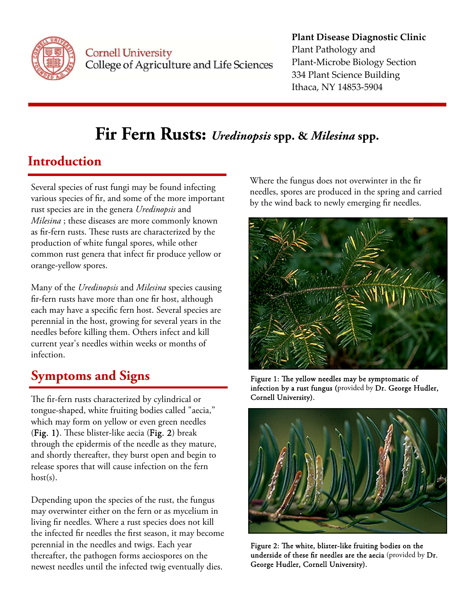

**Cornell University** College of Agriculture and Life Sciences

#### **Plant Disease Diagnostic Clinic** Plant Pathology and Plant‐Microbe Biology Section 334 Plant Science Building Ithaca, NY 14853‐5904

# **Fir Fern Rusts:** *Uredinopsis* **spp. &** *Milesina* **spp.**

### **Introduction**

Several species of rust fungi may be found infecting various species of fir, and some of the more important rust species are in the genera *Uredinopsis* and *Milesina* ; these diseases are more commonly known as fir-fern rusts. These rusts are characterized by the production of white fungal spores, while other common rust genera that infect fir produce yellow or orange-yellow spores.

Many of the *Uredinopsis* and *Milesina* species causing fir-fern rusts have more than one fir host, although each may have a specific fern host. Several species are perennial in the host, growing for several years in the needles before killing them. Others infect and kill current year's needles within weeks or months of infection.

## **Symptoms and Signs**

The fir-fern rusts characterized by cylindrical or tongue-shaped, white fruiting bodies called "aecia," which may form on yellow or even green needles (Fig. 1). These blister-like aecia (Fig. 2) break through the epidermis of the needle as they mature, and shortly thereafter, they burst open and begin to release spores that will cause infection on the fern host(s).

Depending upon the species of the rust, the fungus may overwinter either on the fern or as mycelium in living fir needles. Where a rust species does not kill the infected fir needles the first season, it may become perennial in the needles and twigs. Each year thereafter, the pathogen forms aeciospores on the newest needles until the infected twig eventually dies.

Where the fungus does not overwinter in the fir needles, spores are produced in the spring and carried by the wind back to newly emerging fir needles.



Figure 1: The yellow needles may be symptomatic of infection by a rust fungus (provided by Dr. George Hudler, Cornell University).



Figure 2: The white, blister-like fruiting bodies on the underside of these fir needles are the aecia (provided by Dr. George Hudler, Cornell University).